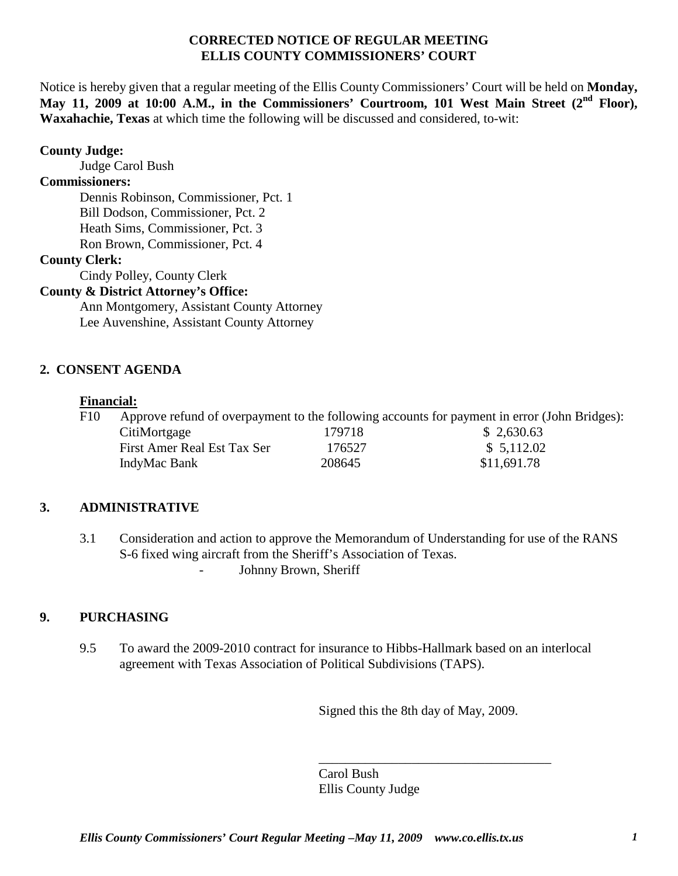### **CORRECTED NOTICE OF REGULAR MEETING ELLIS COUNTY COMMISSIONERS' COURT**

Notice is hereby given that a regular meeting of the Ellis County Commissioners' Court will be held on **Monday, May 11, 2009 at 10:00 A.M., in the Commissioners' Courtroom, 101 West Main Street (2nd Floor), Waxahachie, Texas** at which time the following will be discussed and considered, to-wit:

### **County Judge:**

Judge Carol Bush

### **Commissioners:**

Dennis Robinson, Commissioner, Pct. 1 Bill Dodson, Commissioner, Pct. 2 Heath Sims, Commissioner, Pct. 3 Ron Brown, Commissioner, Pct. 4

## **County Clerk:**

Cindy Polley, County Clerk

## **County & District Attorney's Office:**

Ann Montgomery, Assistant County Attorney Lee Auvenshine, Assistant County Attorney

## **2. CONSENT AGENDA**

### **Financial:**

F10 Approve refund of overpayment to the following accounts for payment in error (John Bridges): CitiMortgage 179718 \$ 2,630.63 First Amer Real Est Tax Ser 176527 \$ 5,112.02 IndyMac Bank 208645 \$11,691.78

# **3. ADMINISTRATIVE**

3.1 Consideration and action to approve the Memorandum of Understanding for use of the RANS S-6 fixed wing aircraft from the Sheriff's Association of Texas. - Johnny Brown, Sheriff

### **9. PURCHASING**

9.5 To award the 2009-2010 contract for insurance to Hibbs-Hallmark based on an interlocal agreement with Texas Association of Political Subdivisions (TAPS).

Signed this the 8th day of May, 2009.

\_\_\_\_\_\_\_\_\_\_\_\_\_\_\_\_\_\_\_\_\_\_\_\_\_\_\_\_\_\_\_\_\_\_\_ Carol Bush Ellis County Judge